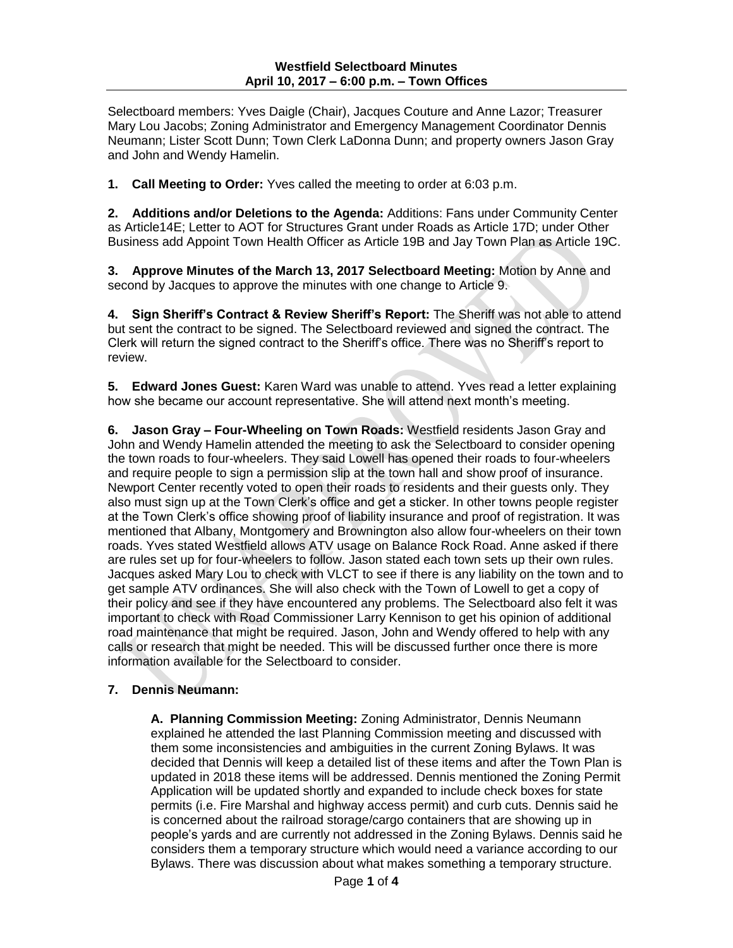Selectboard members: Yves Daigle (Chair), Jacques Couture and Anne Lazor; Treasurer Mary Lou Jacobs; Zoning Administrator and Emergency Management Coordinator Dennis Neumann; Lister Scott Dunn; Town Clerk LaDonna Dunn; and property owners Jason Gray and John and Wendy Hamelin.

**1. Call Meeting to Order:** Yves called the meeting to order at 6:03 p.m.

**2. Additions and/or Deletions to the Agenda:** Additions: Fans under Community Center as Article14E; Letter to AOT for Structures Grant under Roads as Article 17D; under Other Business add Appoint Town Health Officer as Article 19B and Jay Town Plan as Article 19C.

**3. Approve Minutes of the March 13, 2017 Selectboard Meeting:** Motion by Anne and second by Jacques to approve the minutes with one change to Article 9.

**4. Sign Sheriff's Contract & Review Sheriff's Report:** The Sheriff was not able to attend but sent the contract to be signed. The Selectboard reviewed and signed the contract. The Clerk will return the signed contract to the Sheriff's office. There was no Sheriff's report to review.

**5. Edward Jones Guest:** Karen Ward was unable to attend. Yves read a letter explaining how she became our account representative. She will attend next month's meeting.

**6. Jason Gray – Four-Wheeling on Town Roads:** Westfield residents Jason Gray and John and Wendy Hamelin attended the meeting to ask the Selectboard to consider opening the town roads to four-wheelers. They said Lowell has opened their roads to four-wheelers and require people to sign a permission slip at the town hall and show proof of insurance. Newport Center recently voted to open their roads to residents and their guests only. They also must sign up at the Town Clerk's office and get a sticker. In other towns people register at the Town Clerk's office showing proof of liability insurance and proof of registration. It was mentioned that Albany, Montgomery and Brownington also allow four-wheelers on their town roads. Yves stated Westfield allows ATV usage on Balance Rock Road. Anne asked if there are rules set up for four-wheelers to follow. Jason stated each town sets up their own rules. Jacques asked Mary Lou to check with VLCT to see if there is any liability on the town and to get sample ATV ordinances. She will also check with the Town of Lowell to get a copy of their policy and see if they have encountered any problems. The Selectboard also felt it was important to check with Road Commissioner Larry Kennison to get his opinion of additional road maintenance that might be required. Jason, John and Wendy offered to help with any calls or research that might be needed. This will be discussed further once there is more information available for the Selectboard to consider.

# **7. Dennis Neumann:**

**A. Planning Commission Meeting:** Zoning Administrator, Dennis Neumann explained he attended the last Planning Commission meeting and discussed with them some inconsistencies and ambiguities in the current Zoning Bylaws. It was decided that Dennis will keep a detailed list of these items and after the Town Plan is updated in 2018 these items will be addressed. Dennis mentioned the Zoning Permit Application will be updated shortly and expanded to include check boxes for state permits (i.e. Fire Marshal and highway access permit) and curb cuts. Dennis said he is concerned about the railroad storage/cargo containers that are showing up in people's yards and are currently not addressed in the Zoning Bylaws. Dennis said he considers them a temporary structure which would need a variance according to our Bylaws. There was discussion about what makes something a temporary structure.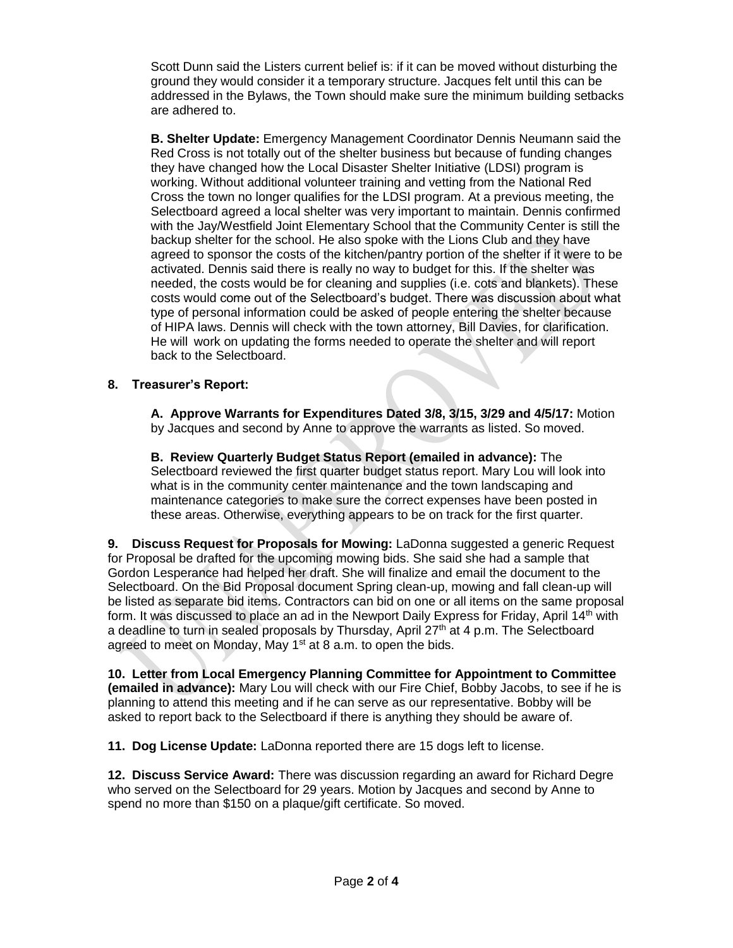Scott Dunn said the Listers current belief is: if it can be moved without disturbing the ground they would consider it a temporary structure. Jacques felt until this can be addressed in the Bylaws, the Town should make sure the minimum building setbacks are adhered to.

**B. Shelter Update:** Emergency Management Coordinator Dennis Neumann said the Red Cross is not totally out of the shelter business but because of funding changes they have changed how the Local Disaster Shelter Initiative (LDSI) program is working. Without additional volunteer training and vetting from the National Red Cross the town no longer qualifies for the LDSI program. At a previous meeting, the Selectboard agreed a local shelter was very important to maintain. Dennis confirmed with the Jay/Westfield Joint Elementary School that the Community Center is still the backup shelter for the school. He also spoke with the Lions Club and they have agreed to sponsor the costs of the kitchen/pantry portion of the shelter if it were to be activated. Dennis said there is really no way to budget for this. If the shelter was needed, the costs would be for cleaning and supplies (i.e. cots and blankets). These costs would come out of the Selectboard's budget. There was discussion about what type of personal information could be asked of people entering the shelter because of HIPA laws. Dennis will check with the town attorney, Bill Davies, for clarification. He will work on updating the forms needed to operate the shelter and will report back to the Selectboard.

# **8. Treasurer's Report:**

**A. Approve Warrants for Expenditures Dated 3/8, 3/15, 3/29 and 4/5/17:** Motion by Jacques and second by Anne to approve the warrants as listed. So moved.

**B. Review Quarterly Budget Status Report (emailed in advance):** The Selectboard reviewed the first quarter budget status report. Mary Lou will look into what is in the community center maintenance and the town landscaping and maintenance categories to make sure the correct expenses have been posted in these areas. Otherwise, everything appears to be on track for the first quarter.

**9. Discuss Request for Proposals for Mowing:** LaDonna suggested a generic Request for Proposal be drafted for the upcoming mowing bids. She said she had a sample that Gordon Lesperance had helped her draft. She will finalize and email the document to the Selectboard. On the Bid Proposal document Spring clean-up, mowing and fall clean-up will be listed as separate bid items. Contractors can bid on one or all items on the same proposal form. It was discussed to place an ad in the Newport Daily Express for Friday, April 14<sup>th</sup> with a deadline to turn in sealed proposals by Thursday, April  $27<sup>th</sup>$  at 4 p.m. The Selectboard agreed to meet on Monday, May  $1<sup>st</sup>$  at 8 a.m. to open the bids.

**10. Letter from Local Emergency Planning Committee for Appointment to Committee (emailed in advance):** Mary Lou will check with our Fire Chief, Bobby Jacobs, to see if he is planning to attend this meeting and if he can serve as our representative. Bobby will be asked to report back to the Selectboard if there is anything they should be aware of.

**11. Dog License Update:** LaDonna reported there are 15 dogs left to license.

**12. Discuss Service Award:** There was discussion regarding an award for Richard Degre who served on the Selectboard for 29 years. Motion by Jacques and second by Anne to spend no more than \$150 on a plaque/gift certificate. So moved.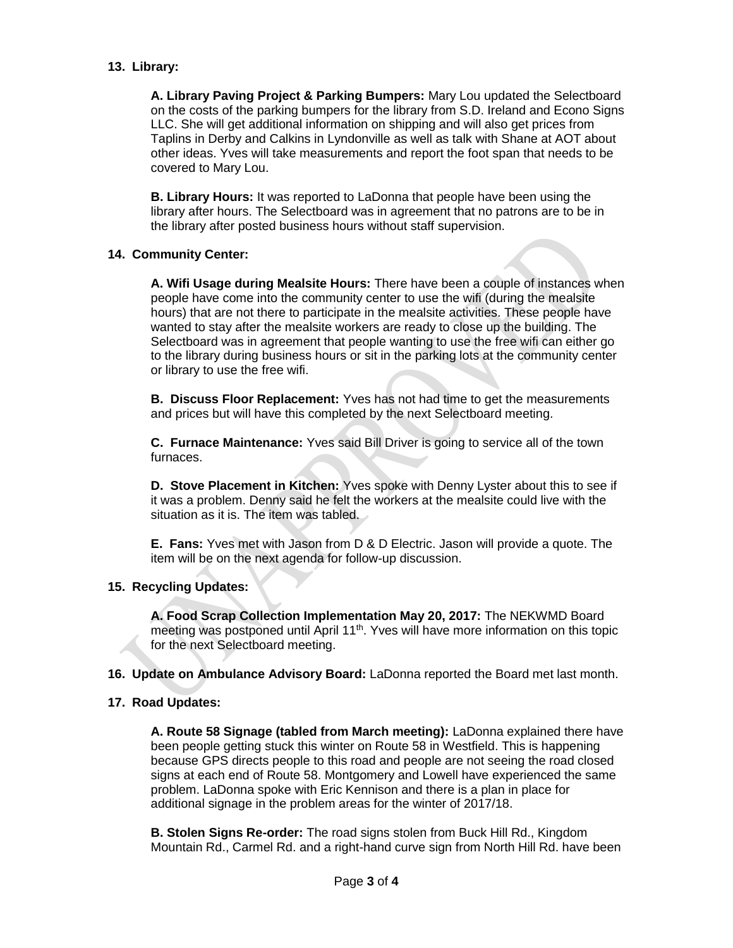### **13. Library:**

**A. Library Paving Project & Parking Bumpers:** Mary Lou updated the Selectboard on the costs of the parking bumpers for the library from S.D. Ireland and Econo Signs LLC. She will get additional information on shipping and will also get prices from Taplins in Derby and Calkins in Lyndonville as well as talk with Shane at AOT about other ideas. Yves will take measurements and report the foot span that needs to be covered to Mary Lou.

**B. Library Hours:** It was reported to LaDonna that people have been using the library after hours. The Selectboard was in agreement that no patrons are to be in the library after posted business hours without staff supervision.

### **14. Community Center:**

**A. Wifi Usage during Mealsite Hours:** There have been a couple of instances when people have come into the community center to use the wifi (during the mealsite hours) that are not there to participate in the mealsite activities. These people have wanted to stay after the mealsite workers are ready to close up the building. The Selectboard was in agreement that people wanting to use the free wifi can either go to the library during business hours or sit in the parking lots at the community center or library to use the free wifi.

**B. Discuss Floor Replacement:** Yves has not had time to get the measurements and prices but will have this completed by the next Selectboard meeting.

**C. Furnace Maintenance:** Yves said Bill Driver is going to service all of the town furnaces.

**D. Stove Placement in Kitchen:** Yves spoke with Denny Lyster about this to see if it was a problem. Denny said he felt the workers at the mealsite could live with the situation as it is. The item was tabled.

**E. Fans:** Yves met with Jason from D & D Electric. Jason will provide a quote. The item will be on the next agenda for follow-up discussion.

### **15. Recycling Updates:**

**A. Food Scrap Collection Implementation May 20, 2017:** The NEKWMD Board meeting was postponed until April  $11<sup>th</sup>$ . Yves will have more information on this topic for the next Selectboard meeting.

**16. Update on Ambulance Advisory Board:** LaDonna reported the Board met last month.

### **17. Road Updates:**

**A. Route 58 Signage (tabled from March meeting):** LaDonna explained there have been people getting stuck this winter on Route 58 in Westfield. This is happening because GPS directs people to this road and people are not seeing the road closed signs at each end of Route 58. Montgomery and Lowell have experienced the same problem. LaDonna spoke with Eric Kennison and there is a plan in place for additional signage in the problem areas for the winter of 2017/18.

**B. Stolen Signs Re-order:** The road signs stolen from Buck Hill Rd., Kingdom Mountain Rd., Carmel Rd. and a right-hand curve sign from North Hill Rd. have been